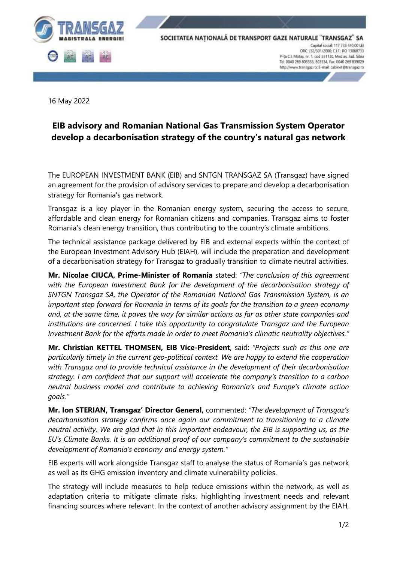

16 May 2022

# **EIB advisory and Romanian National Gas Transmission System Operator develop a decarbonisation strategy of the country's natural gas network**

The EUROPEAN INVESTMENT BANK (EIB) and SNTGN TRANSGAZ SA (Transgaz) have signed an agreement for the provision of advisory services to prepare and develop a decarbonisation strategy for Romania's gas network.

Transgaz is a key player in the Romanian energy system, securing the access to secure, affordable and clean energy for Romanian citizens and companies. Transgaz aims to foster Romania's clean energy transition, thus contributing to the country's climate ambitions.

The technical assistance package delivered by EIB and external experts within the context of the European Investment Advisory Hub (EIAH), will include the preparation and development of a decarbonisation strategy for Transgaz to gradually transition to climate neutral activities.

**Mr. Nicolae CIUCA, Prime-Minister of Romania** stated: *"The conclusion of this agreement with the European Investment Bank for the development of the decarbonisation strategy of SNTGN Transgaz SA, the Operator of the Romanian National Gas Transmission System, is an important step forward for Romania in terms of its goals for the transition to a green economy* and, at the same time, it paves the way for similar actions as far as other state companies and *institutions are concerned. I take this opportunity to congratulate Transgaz and the European Investment Bank for the efforts made in order to meet Romania's climatic neutrality objectives."*

**Mr. Christian KETTEL THOMSEN, EIB Vice-President**, said: *"Projects such as this one are particularly timely in the current geo-political context. We are happy to extend the cooperation with Transgaz and to provide technical assistance in the development of their decarbonisation strategy. I am confident that our support will accelerate the company's transition to a carbon neutral business model and contribute to achieving Romania's and Europe's climate action goals."*

**Mr. Ion STERIAN, Transgaz' Director General,** commented: *"The development of Transgaz's decarbonisation strategy confirms once again our commitment to transitioning to a climate neutral activity. We are glad that in this important endeavour, the EIB is supporting us, as the EU's Climate Banks. It is an additional proof of our company's commitment to the sustainable development of Romania's economy and energy system."*

EIB experts will work alongside Transgaz staff to analyse the status of Romania's gas network as well as its GHG emission inventory and climate vulnerability policies.

The strategy will include measures to help reduce emissions within the network, as well as adaptation criteria to mitigate climate risks, highlighting investment needs and relevant financing sources where relevant. In the context of another advisory assignment by the EIAH,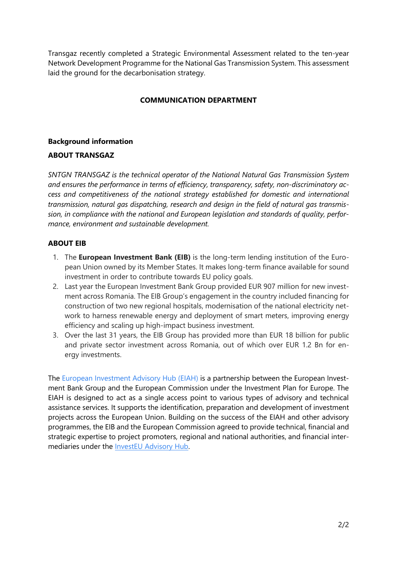Transgaz recently completed a Strategic Environmental Assessment related to the ten-year Network Development Programme for the National Gas Transmission System. This assessment laid the ground for the decarbonisation strategy.

## **COMMUNICATION DEPARTMENT**

### **Background information**

### **ABOUT TRANSGAZ**

*SNTGN TRANSGAZ is the technical operator of the National Natural Gas Transmission System and ensures the performance in terms of efficiency, transparency, safety, non-discriminatory access and competitiveness of the national strategy established for domestic and international transmission, natural gas dispatching, research and design in the field of natural gas transmission, in compliance with the national and European legislation and standards of quality, performance, environment and sustainable development.*

## **ABOUT EIB**

- 1. The **European Investment Bank (EIB)** is the long-term lending institution of the European Union owned by its Member States. It makes long-term finance available for sound investment in order to contribute towards EU policy goals.
- 2. Last year the European Investment Bank Group provided EUR 907 million for new investment across Romania. The EIB Group's engagement in the country included financing for construction of two new regional hospitals, modernisation of the national electricity network to harness renewable energy and deployment of smart meters, improving energy efficiency and scaling up high-impact business investment.
- 3. Over the last 31 years, the EIB Group has provided more than EUR 18 billion for public and private sector investment across Romania, out of which over EUR 1.2 Bn for energy investments.

The [European Investment Advisory Hub \(EIAH\)](https://eiah.eib.org/) is a partnership between the European Investment Bank Group and the European Commission under the Investment Plan for Europe. The EIAH is designed to act as a single access point to various types of advisory and technical assistance services. It supports the identification, preparation and development of investment projects across the European Union. Building on the success of the EIAH and other advisory programmes, the EIB and the European Commission agreed to provide technical, financial and strategic expertise to project promoters, regional and national authorities, and financial intermediaries under the [InvestEU Advisory Hub.](https://europa.eu/investeu/investeu-advisory-hub_en)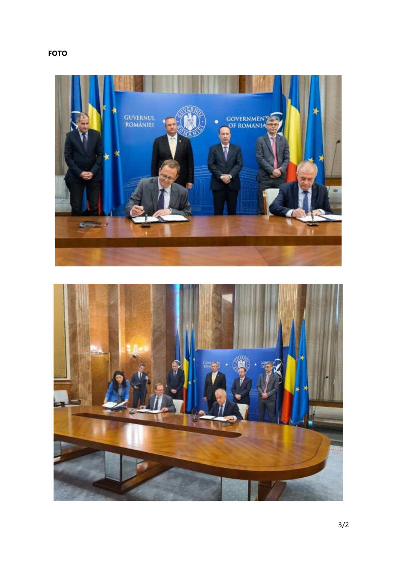